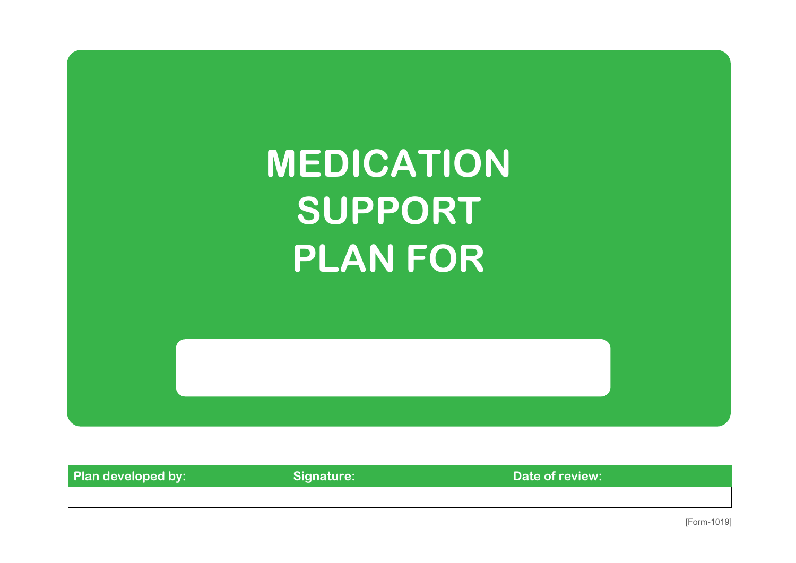

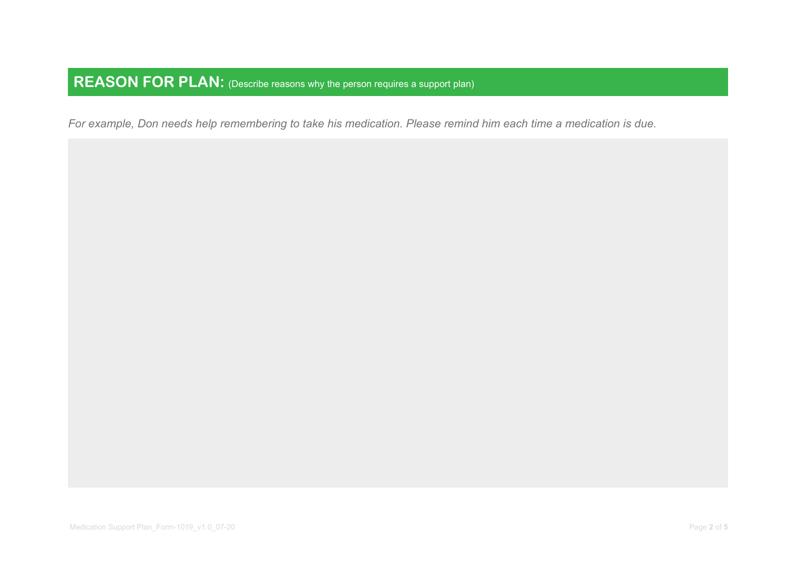*For example, Don needs help remembering to take his medication. Please remind him each time a medication is due.*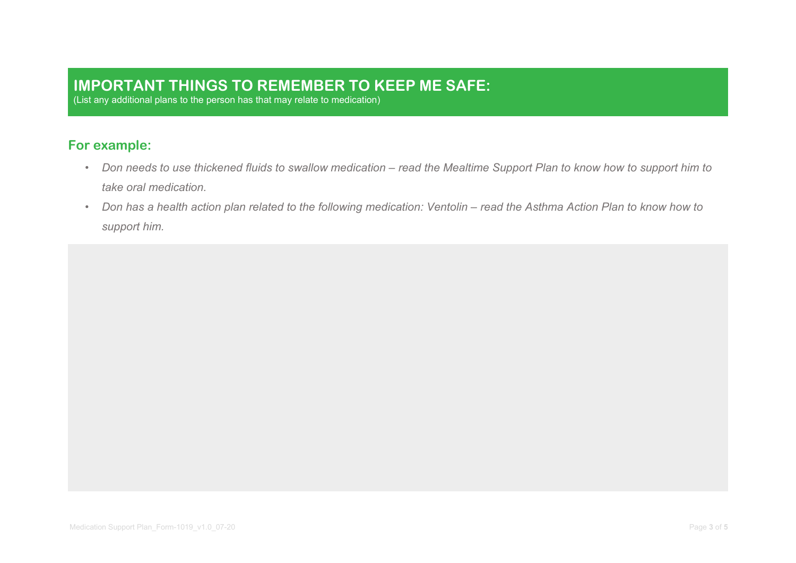#### **IMPORTANT THINGS TO REMEMBER TO KEEP ME SAFE:**

(List any additional plans to the person has that may relate to medication)

#### **For example:**

- *Don needs to use thickened fluids to swallow medication – read the Mealtime Support Plan to know how to support him to take oral medication.*
- *Don has a health action plan related to the following medication: Ventolin – read the Asthma Action Plan to know how to support him.*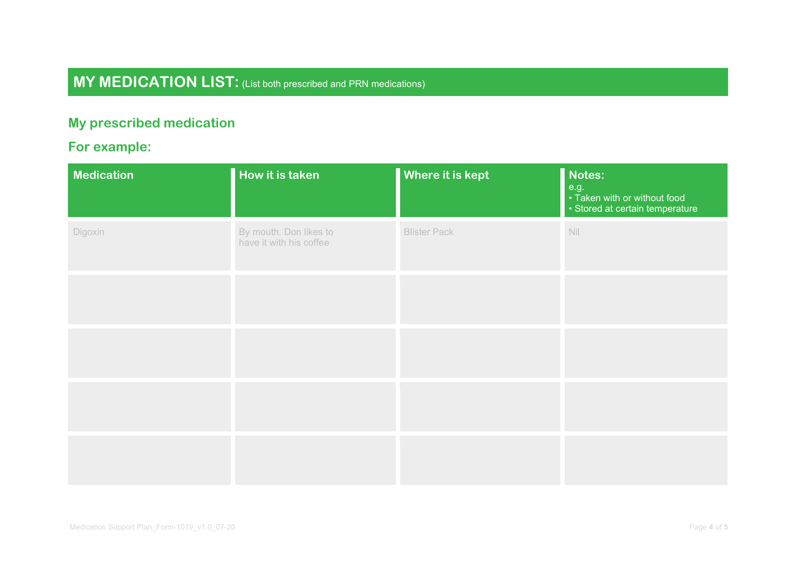# **MY MEDICATION LIST:** (List both prescribed and PRN medications)

### **My prescribed medication**

## **For example:**

| Medication | How it is taken                                   | Where it is kept    | Notes:<br>e.g.<br>• Taken with or without food<br>• Stored at certain temperature                                         |
|------------|---------------------------------------------------|---------------------|---------------------------------------------------------------------------------------------------------------------------|
| Digoxin    | By mouth. Don likes to<br>have it with his coffee | <b>Blister Pack</b> | $\mathop{\rm Nil}% \limits_{{\cal K}} \equiv\mathop{\rm Nil}\nolimits({\cal K})\equiv\mathop{\rm Nil}\nolimits({\cal K})$ |
|            |                                                   |                     |                                                                                                                           |
|            |                                                   |                     |                                                                                                                           |
|            |                                                   |                     |                                                                                                                           |
|            |                                                   |                     |                                                                                                                           |